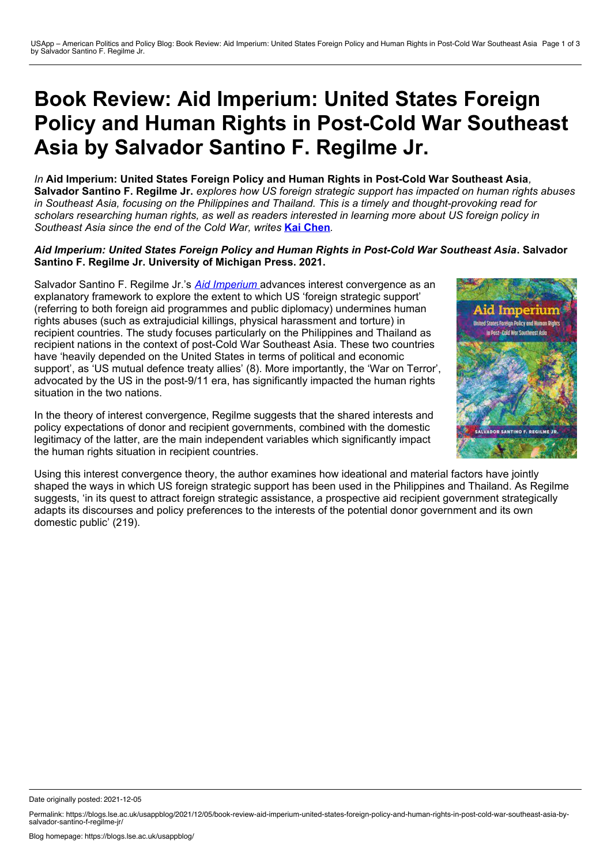## **Book Review: Aid Imperium: United States Foreign Policy and Human Rights in Post-Cold War Southeast Asia by Salvador Santino F. Regilme Jr.**

*In* **Aid Imperium: United States Foreign Policy and Human Rights in Post-Cold War Southeast Asia***,* Salvador Santino F. Regilme Jr. explores how US foreign strategic support has impacted on human rights abuses in Southeast Asia, focusing on the Philippines and Thailand. This is a timely and thought-provoking read for scholars researching human rights, as well as readers interested in learning more about US foreign policy in *Southeast Asia since the end of the Cold War, writes* **Kai [Chen](https://wp.me/p3I2YF-blT#Author)***.*

## *Aid Imperium: United States Foreign Policy and Human Rights in Post-Cold War Southeast Asia***. Salvador Santino F. Regilme Jr. University of Michigan Press. 2021.**

ed States Foreign Policy and Human Dight **Past-Gold War Southeast Asic** 

Salvador Santino F. Regilme Jr.'s *Aid [Imperium](https://www.press.umich.edu/12036762/aid_imperium)* advances interest convergence as an explanatory framework to explore the extent to which US 'foreign strategic support' (referring to both foreign aid programmes and public diplomacy) undermines human rights abuses (such as extrajudicial killings, physical harassment and torture) in recipient countries. The study focuses particularly on the Philippines and Thailand as recipient nations in the context of post-Cold War Southeast Asia. These two countries have 'heavily depended on the United States in terms of political and economic support', as 'US mutual defence treaty allies' (8). More importantly, the 'War on Terror', advocated by the US in the post-9/11 era, has significantly impacted the human rights situation in the two nations.

In the theory of interest convergence, Regilme suggests that the shared interests and policy expectations of donor and recipient governments, combined with the domestic legitimacy of the latter, are the main independent variables which significantly impact the human rights situation in recipient countries.



Date originally posted: 2021-12-05

Permalink: https://blogs.lse.ac.uk/usappblog/2021/12/05/book-review-aid-imperium-united-states-foreign-policy-and-human-rights-in-post-cold-war-southeast-asia-by-<br>salvador-santino-f-regilme-jr/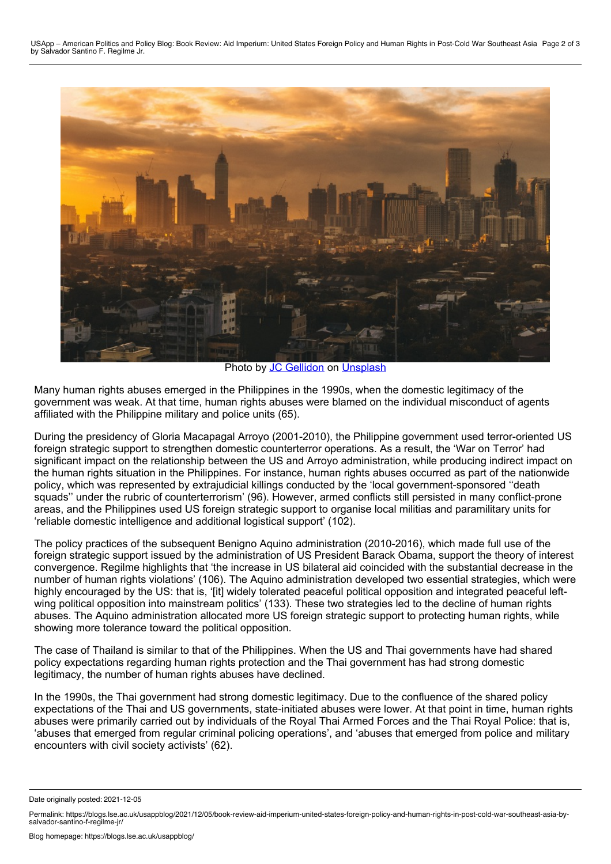

Photo by **JC [Gellidon](https://unsplash.com/@jcgellidon?utm_source=unsplash&utm_medium=referral&utm_content=creditCopyText)** on [Unsplash](https://unsplash.com/?utm_source=unsplash&utm_medium=referral&utm_content=creditCopyText)

Many human rights abuses emerged in the Philippines in the 1990s, when the domestic legitimacy of the government was weak. At that time, human rights abuses were blamed on the individual misconduct of agents affiliated with the Philippine military and police units (65).

During the presidency of Gloria Macapagal Arroyo (2001-2010), the Philippine government used terror-oriented US foreign strategic support to strengthen domestic counterterror operations. As a result, the 'War on Terror' had significant impact on the relationship between the US and Arroyo administration, while producing indirect impact on the human rights situation in the Philippines. For instance, human rights abuses occurred as part of the nationwide policy, which was represented by extrajudicial killings conducted by the 'local government-sponsored ''death squads'' under the rubric of counterterrorism' (96). However, armed conflicts still persisted in many conflict-prone areas, and the Philippines used US foreign strategic support to organise local militias and paramilitary units for 'reliable domestic intelligence and additional logistical support' (102).

The policy practices of the subsequent Benigno Aquino administration (2010-2016), which made full use of the foreign strategic support issued by the administration of US President Barack Obama, support the theory of interest convergence. Regilme highlights that 'the increase in US bilateral aid coincided with the substantial decrease in the number of human rights violations' (106). The Aquino administration developed two essential strategies, which were highly encouraged by the US: that is, '[it] widely tolerated peaceful political opposition and integrated peaceful leftwing political opposition into mainstream politics' (133). These two strategies led to the decline of human rights abuses. The Aquino administration allocated more US foreign strategic support to protecting human rights, while showing more tolerance toward the political opposition.

The case of Thailand is similar to that of the Philippines. When the US and Thai governments have had shared policy expectations regarding human rights protection and the Thai government has had strong domestic legitimacy, the number of human rights abuses have declined.

In the 1990s, the Thai government had strong domestic legitimacy. Due to the confluence of the shared policy expectations of the Thai and US governments, state-initiated abuses were lower. At that point in time, human rights abuses were primarily carried out by individuals of the Royal Thai Armed Forces and the Thai Royal Police: that is, 'abuses that emerged from regular criminal policing operations', and 'abuses that emerged from police and military encounters with civil society activists' (62).

Date originally posted: 2021-12-05

Permalink: https://blogs.lse.ac.uk/usappblog/2021/12/05/book-review-aid-imperium-united-states-foreign-policy-and-human-rights-in-post-cold-war-southeast-asia-by-<br>salvador-santino-f-regilme-jr/